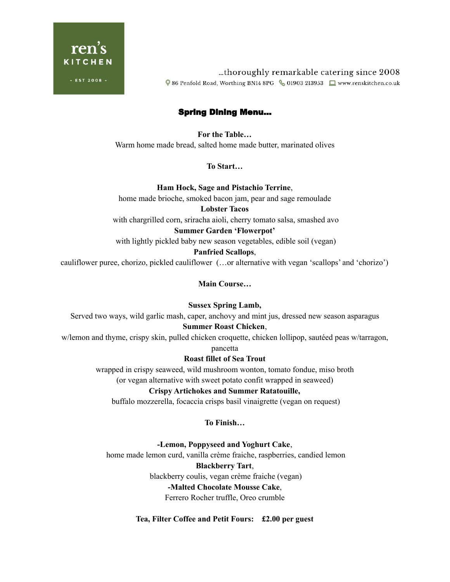

thoroughly remarkable catering since 2008... ♥ 86 Penfold Road, Worthing BN14 8PG & 01903 213953 ■ www.renskitchen.co.uk

# Spring Dining Menu…

**For the Table…** Warm home made bread, salted home made butter, marinated olives

**To Start…**

**Ham Hock, Sage and Pistachio Terrine**, home made brioche, smoked bacon jam, pear and sage remoulade **Lobster Tacos** with chargrilled corn, sriracha aioli, cherry tomato salsa, smashed avo

**Summer Garden 'Flowerpot'**

with lightly pickled baby new season vegetables, edible soil (vegan)

#### **Panfried Scallops**,

cauliflower puree, chorizo, pickled cauliflower (…or alternative with vegan 'scallops' and 'chorizo')

**Main Course…**

**Sussex Spring Lamb,**

Served two ways, wild garlic mash, caper, anchovy and mint jus, dressed new season asparagus

## **Summer Roast Chicken**,

w/lemon and thyme, crispy skin, pulled chicken croquette, chicken lollipop, sautéed peas w/tarragon,

pancetta

## **Roast fillet of Sea Trout**

wrapped in crispy seaweed, wild mushroom wonton, tomato fondue, miso broth

(or vegan alternative with sweet potato confit wrapped in seaweed)

## **Crispy Artichokes and Summer Ratatouille,**

buffalo mozzerella, focaccia crisps basil vinaigrette (vegan on request)

**To Finish…**

## **-Lemon, Poppyseed and Yoghurt Cake**,

home made lemon curd, vanilla crème fraiche, raspberries, candied lemon

**Blackberry Tart**,

blackberry coulis, vegan crème fraiche (vegan)

## **-Malted Chocolate Mousse Cake**,

Ferrero Rocher truffle, Oreo crumble

**Tea, Filter Coffee and Petit Fours: £2.00 per guest**